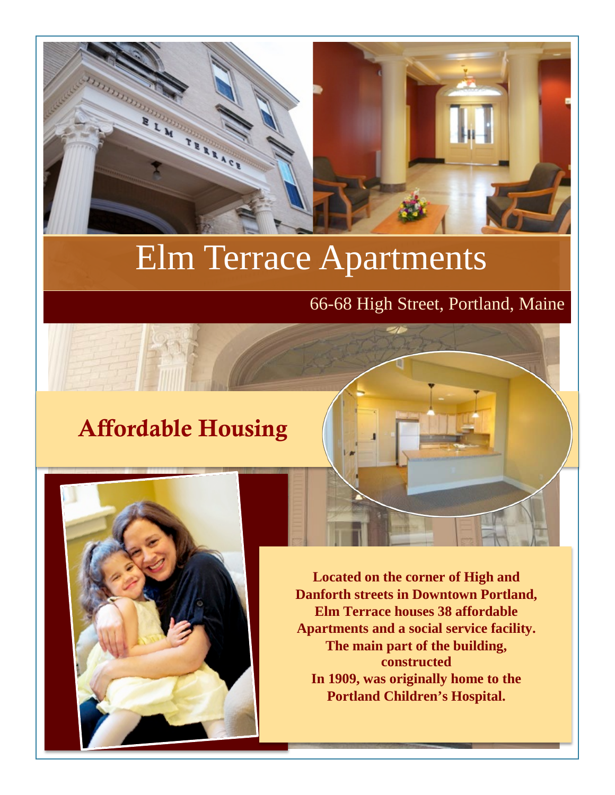

# Elm Terrace Apartments

#### 66-68 High Street, Portland, Maine

## Affordable Housing



**Located on the corner of High and Danforth streets in Downtown Portland, Elm Terrace houses 38 affordable Apartments and a social service facility. The main part of the building, constructed In 1909, was originally home to the Portland Children's Hospital.**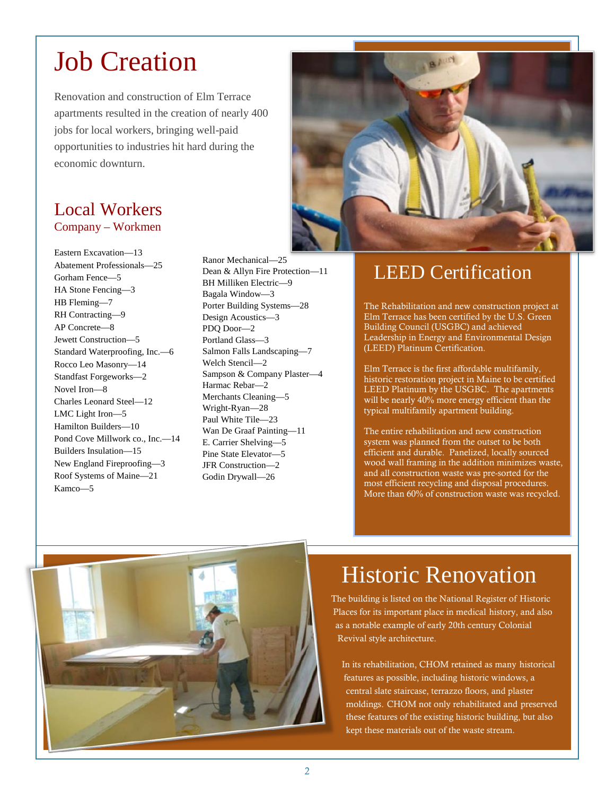## Job Creation

Renovation and construction of Elm Terrace apartments resulted in the creation of nearly 400 jobs for local workers, bringing well-paid opportunities to industries hit hard during the economic downturn.

#### Local Workers Company – Workmen

Eastern Excavation—13 Abatement Professionals—25 Gorham Fence—5 HA Stone Fencing—3 HB Fleming—7 RH Contracting—9 AP Concrete—8 Jewett Construction—5 Standard Waterproofing, Inc.—6 Rocco Leo Masonry—14 Standfast Forgeworks—2 Novel Iron—8 Charles Leonard Steel—12 LMC Light Iron—5 Hamilton Builders—10 Pond Cove Millwork co., Inc.—14 Builders Insulation—15 New England Fireproofing—3 Roof Systems of Maine—21 Kamco—5

Ranor Mechanical—25 Dean & Allyn Fire Protection—11 BH Milliken Electric—9 Bagala Window—3 Porter Building Systems—28 Design Acoustics—3 PDQ Door—2 Portland Glass—3 Salmon Falls Landscaping—7 Welch Stencil—2 Sampson & Company Plaster—4 Harmac Rebar—2 Merchants Cleaning—5 Wright-Ryan—28 Paul White Tile—23 Wan De Graaf Painting—11 E. Carrier Shelving—5 Pine State Elevator—5 JFR Construction—2 Godin Drywall—26



### LEED Certification

The Rehabilitation and new construction project at Elm Terrace has been certified by the U.S. Green Building Council (USGBC) and achieved Leadership in Energy and Environmental Design (LEED) Platinum Certification.

Elm Terrace is the first affordable multifamily, historic restoration project in Maine to be certified LEED Platinum by the USGBC. The apartments will be nearly 40% more energy efficient than the typical multifamily apartment building.

The entire rehabilitation and new construction system was planned from the outset to be both efficient and durable. Panelized, locally sourced wood wall framing in the addition minimizes waste, and all construction waste was pre-sorted for the most efficient recycling and disposal procedures. More than 60% of construction waste was recycled.



## Historic Renovation

The building is listed on the National Register of Historic Places for its important place in medical history, and also as a notable example of early 20th century Colonial Revival style architecture.

In its rehabilitation, CHOM retained as many historical features as possible, including historic windows, a central slate staircase, terrazzo floors, and plaster moldings. CHOM not only rehabilitated and preserved these features of the existing historic building, but also kept these materials out of the waste stream.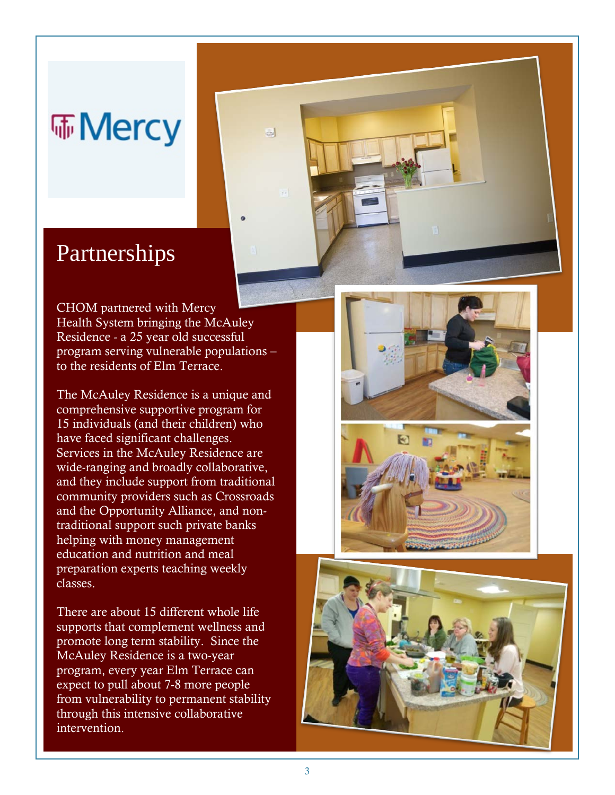# Mercy

### Partnerships

CHOM partnered with Mercy Health System bringing the McAuley Residence - a 25 year old successful program serving vulnerable populations – to the residents of Elm Terrace.

 $\Box$ 

The McAuley Residence is a unique and comprehensive supportive program for 15 individuals (and their children) who have faced significant challenges. Services in the McAuley Residence are wide-ranging and broadly collaborative, and they include support from traditional community providers such as Crossroads and the Opportunity Alliance, and nontraditional support such private banks helping with money management education and nutrition and meal preparation experts teaching weekly classes.

There are about 15 different whole life supports that complement wellness and promote long term stability. Since the McAuley Residence is a two-year program, every year Elm Terrace can expect to pull about 7-8 more people from vulnerability to permanent stability through this intensive collaborative intervention.